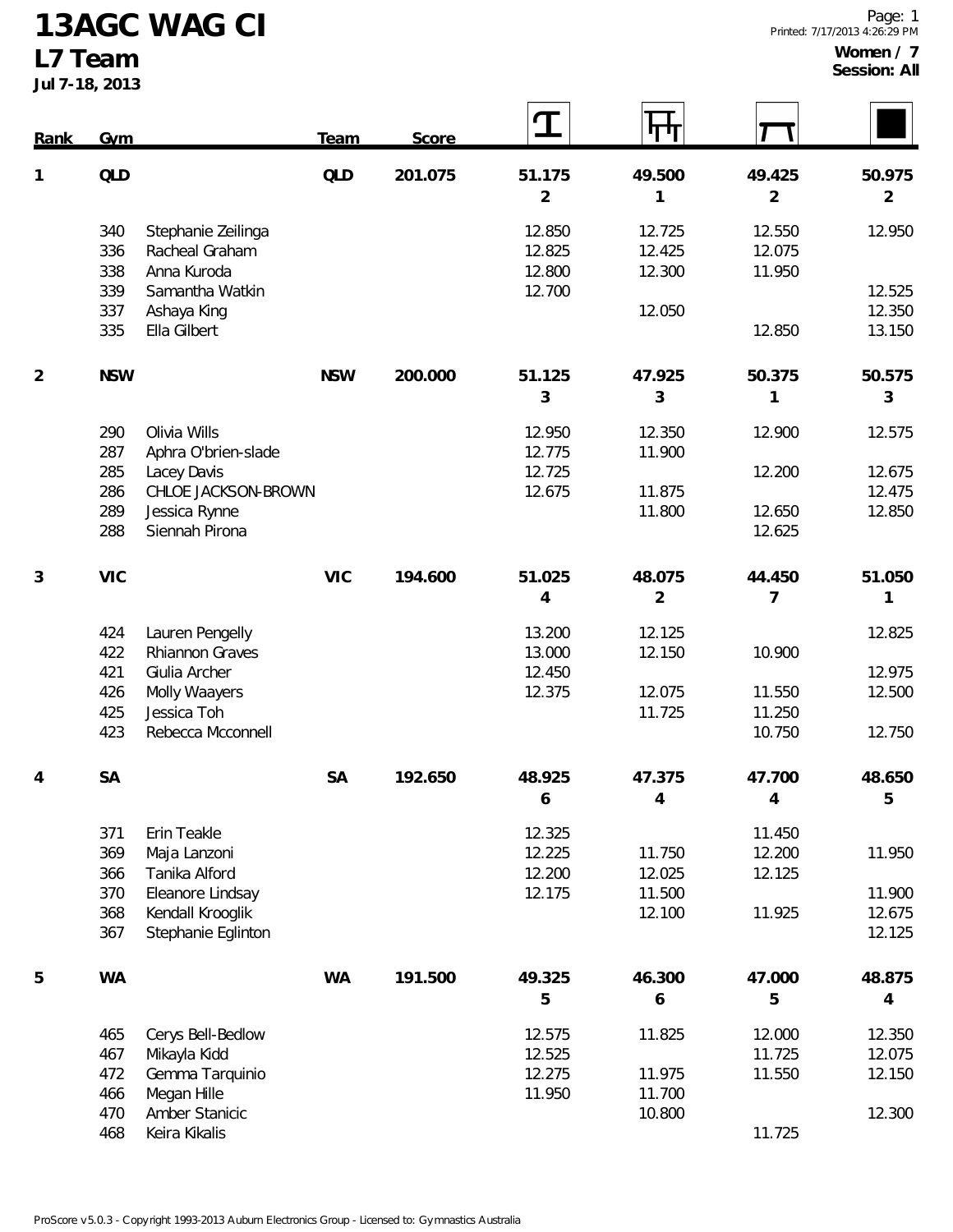**13AGC WAG CI**

**L7 Team**

**Jul 7-18, 2013**

 $\Gamma$ 

| Rank           | Gym        |                     | <b>Team</b> | Score   |                | पण             |                |                |
|----------------|------------|---------------------|-------------|---------|----------------|----------------|----------------|----------------|
| $\mathbf{1}$   | QLD        |                     | QLD         | 201.075 | 51.175         | 49.500         | 49.425         | 50.975         |
|                |            |                     |             |         | $\overline{2}$ | 1              | $\overline{2}$ | $\overline{2}$ |
|                | 340        | Stephanie Zeilinga  |             |         | 12.850         | 12.725         | 12.550         | 12.950         |
|                | 336        | Racheal Graham      |             |         | 12.825         | 12.425         | 12.075         |                |
|                | 338        | Anna Kuroda         |             |         | 12.800         | 12.300         | 11.950         |                |
|                | 339        | Samantha Watkin     |             |         | 12.700         |                |                | 12.525         |
|                | 337        | Ashaya King         |             |         |                | 12.050         |                | 12.350         |
|                | 335        | Ella Gilbert        |             |         |                |                | 12.850         | 13.150         |
| $\overline{2}$ | <b>NSW</b> |                     | <b>NSW</b>  | 200.000 | 51.125         | 47.925         | 50.375         | 50.575         |
|                |            |                     |             |         | 3              | 3              | 1              | 3              |
|                | 290        | Olivia Wills        |             |         | 12.950         | 12.350         | 12.900         | 12.575         |
|                | 287        | Aphra O'brien-slade |             |         | 12.775         | 11.900         |                |                |
|                | 285        | Lacey Davis         |             |         | 12.725         |                | 12.200         | 12.675         |
|                | 286        | CHLOE JACKSON-BROWN |             |         | 12.675         | 11.875         |                | 12.475         |
|                | 289        | Jessica Rynne       |             |         |                | 11.800         | 12.650         | 12.850         |
|                | 288        | Siennah Pirona      |             |         |                |                | 12.625         |                |
| 3              | <b>VIC</b> |                     | <b>VIC</b>  | 194.600 | 51.025         | 48.075         | 44.450         | 51.050         |
|                |            |                     |             |         | 4              | $\overline{2}$ | 7              | 1              |
|                | 424        | Lauren Pengelly     |             |         | 13.200         | 12.125         |                | 12.825         |
|                | 422        | Rhiannon Graves     |             |         | 13.000         | 12.150         | 10.900         |                |
|                | 421        | Giulia Archer       |             |         | 12.450         |                |                | 12.975         |
|                | 426        | Molly Waayers       |             |         | 12.375         | 12.075         | 11.550         | 12.500         |
|                | 425        | Jessica Toh         |             |         |                | 11.725         | 11.250         |                |
|                | 423        | Rebecca Mcconnell   |             |         |                |                | 10.750         | 12.750         |
| 4              | <b>SA</b>  |                     | <b>SA</b>   | 192.650 | 48.925         | 47.375         | 47.700         | 48.650         |
|                |            |                     |             |         | 6              | 4              | 4              | 5              |
|                | 371        | Erin Teakle         |             |         | 12.325         |                | 11.450         |                |
|                | 369        | Maja Lanzoni        |             |         | 12.225         | 11.750         | 12.200         | 11.950         |
|                | 366        | Tanika Alford       |             |         | 12.200         | 12.025         | 12.125         |                |
|                | 370        | Eleanore Lindsay    |             |         | 12.175         | 11.500         |                | 11.900         |
|                | 368        | Kendall Krooglik    |             |         |                | 12.100         | 11.925         | 12.675         |
|                | 367        | Stephanie Eglinton  |             |         |                |                |                | 12.125         |
| 5              | <b>WA</b>  |                     | <b>WA</b>   | 191.500 | 49.325         | 46.300         | 47.000         | 48.875         |
|                |            |                     |             |         | 5              | 6              | 5              | 4              |
|                | 465        | Cerys Bell-Bedlow   |             |         | 12.575         | 11.825         | 12.000         | 12.350         |
|                | 467        | Mikayla Kidd        |             |         | 12.525         |                | 11.725         | 12.075         |
|                | 472        | Gemma Tarquinio     |             |         | 12.275         | 11.975         | 11.550         | 12.150         |
|                | 466        | Megan Hille         |             |         | 11.950         | 11.700         |                |                |
|                | 470        | Amber Stanicic      |             |         |                | 10.800         |                | 12.300         |
|                | 468        | Keira Kikalis       |             |         |                |                | 11.725         |                |

 $\mathsf{r}$ 

 $\mathsf{r}$ 

 $\overline{\phantom{0}}$ 

 $\mathsf{r}$